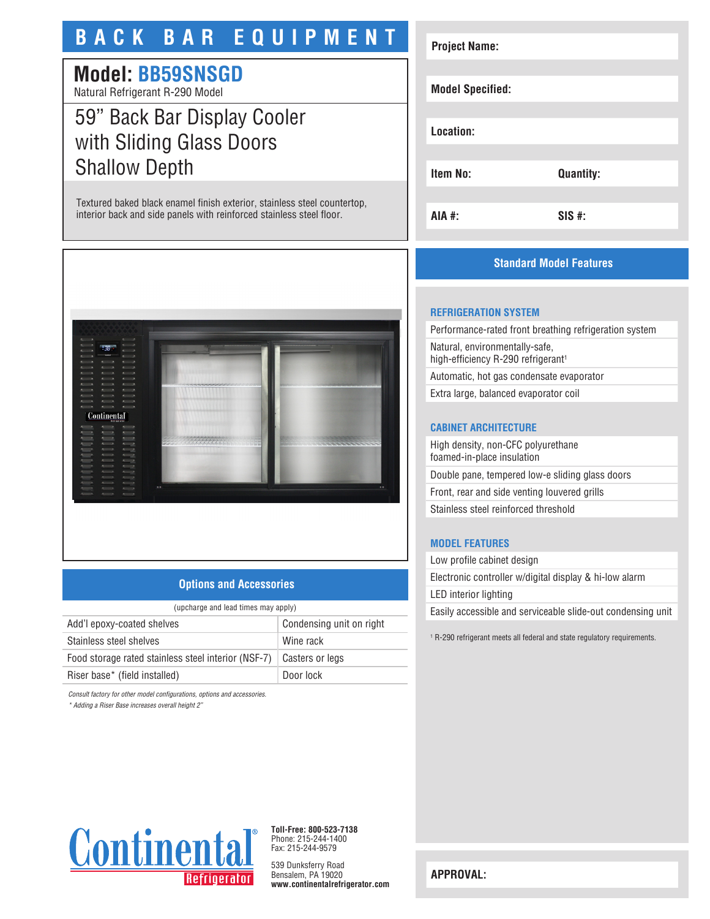# **BACK BAR EQUIPMENT**

## **Model: BB59SNSGD**

Natural Refrigerant R-290 Model

# 59" Back Bar Display Cooler with Sliding Glass Doors Shallow Depth

Textured baked black enamel finish exterior, stainless steel countertop, interior back and side panels with reinforced stainless steel floor.



### **Options and Accessories**

| (upcharge and lead times may apply)                 |                          |
|-----------------------------------------------------|--------------------------|
| Add'l epoxy-coated shelves                          | Condensing unit on right |
| Stainless steel shelves                             | Wine rack                |
| Food storage rated stainless steel interior (NSF-7) | Casters or legs          |
| Riser base* (field installed)                       | Door lock                |

*Consult factory for other model configurations, options and accessories.*

*\* Adding a Riser Base increases overall height 2"*

# **Project Name: Model Specified: Location: Item No: Quantity: AIA #: SIS #:**

## **Standard Model Features**

#### **REFRIGERATION SYSTEM**

Performance-rated front breathing refrigeration system Natural, environmentally-safe, high-efficiency R-290 refrigerant<sup>1</sup> Automatic, hot gas condensate evaporator

Extra large, balanced evaporator coil

### **CABINET ARCHITECTURE**

High density, non-CFC polyurethane foamed-in-place insulation Double pane, tempered low-e sliding glass doors Front, rear and side venting louvered grills Stainless steel reinforced threshold

## **MODEL FEATURES**

Low profile cabinet design Electronic controller w/digital display & hi-low alarm LED interior lighting Easily accessible and serviceable slide-out condensing unit

1 R-290 refrigerant meets all federal and state regulatory requirements.



**Toll-Free: 800-523-7138** Phone: 215-244-1400 Fax: 215-244-9579

539 Dunksferry Road Bensalem, PA 19020 **www.continentalrefrigerator.com** 

**APPROVAL:**